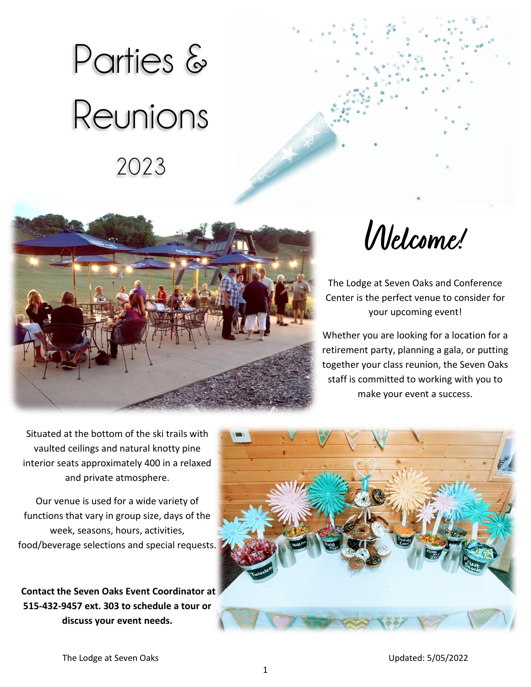# Parties & Reunions 2023





**Welcome!** 

The Lodge at Seven Oaks and Conference Center is the perfect venue to consider for your upcoming event!

Whether you are looking for a location for a retirement party, planning a gala, or putting together your class reunion, the Seven Oaks staff is committed to working with you to make your event a success.

Situated at the bottom of the ski trails with vaulted ceilings and natural knotty pine interior seats approximately 400 in a relaxed and private atmosphere.

Our venue is used for a wide variety of functions that vary in group size, days of the week, seasons, hours, activities, food/beverage selections and special requests.

**Contact the Seven Oaks Event Coordinator at 515-432-9457 ext. 303 to schedule a tour or discuss your event needs.**

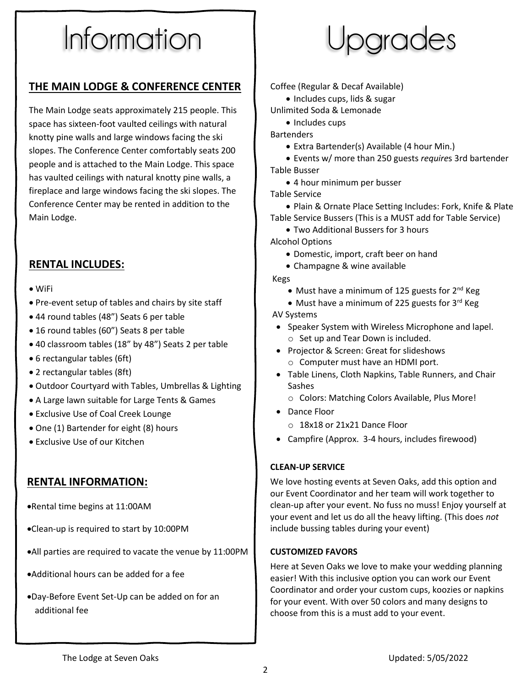# Information

### **THE MAIN LODGE & CONFERENCE CENTER**

The Main Lodge seats approximately 215 people. This space has sixteen-foot vaulted ceilings with natural knotty pine walls and large windows facing the ski slopes. The Conference Center comfortably seats 200 people and is attached to the Main Lodge. This space has vaulted ceilings with natural knotty pine walls, a fireplace and large windows facing the ski slopes. The Conference Center may be rented in addition to the Main Lodge.

## **RENTAL INCLUDES:**

- WiFi
- Pre-event setup of tables and chairs by site staff
- 44 round tables (48") Seats 6 per table
- 16 round tables (60") Seats 8 per table
- 40 classroom tables (18" by 48") Seats 2 per table
- 6 rectangular tables (6ft)
- 2 rectangular tables (8ft)
- Outdoor Courtyard with Tables, Umbrellas & Lighting
- A Large lawn suitable for Large Tents & Games
- Exclusive Use of Coal Creek Lounge
- One (1) Bartender for eight (8) hours
- Exclusive Use of our Kitchen

#### **RENTAL INFORMATION:**

•Rental time begins at 11:00AM

- •Clean-up is required to start by 10:00PM
- •All parties are required to vacate the venue by 11:00PM
- •Additional hours can be added for a fee
- •Day-Before Event Set-Up can be added on for an additional fee



Coffee (Regular & Decaf Available)

- Includes cups, lids & sugar
- Unlimited Soda & Lemonade
	- Includes cups

**Bartenders** 

- Extra Bartender(s) Available (4 hour Min.)
- Events w/ more than 250 guests *require*s 3rd bartender Table Busser
	- 4 hour minimum per busser

Table Service

• Plain & Ornate Place Setting Includes: Fork, Knife & Plate Table Service Bussers (This is a MUST add for Table Service)

• Two Additional Bussers for 3 hours

Alcohol Options

- Domestic, import, craft beer on hand
- Champagne & wine available

Kegs

- Must have a minimum of 125 guests for  $2^{nd}$  Keg
- Must have a minimum of 225 guests for 3rd Keg

AV Systems

- Speaker System with Wireless Microphone and lapel. o Set up and Tear Down is included.
- Projector & Screen: Great for slideshows
	- o Computer must have an HDMI port.
- Table Linens, Cloth Napkins, Table Runners, and Chair **Sashes** 
	- o Colors: Matching Colors Available, Plus More!
- Dance Floor
	- o 18x18 or 21x21 Dance Floor
- Campfire (Approx. 3-4 hours, includes firewood)

#### **CLEAN-UP SERVICE**

We love hosting events at Seven Oaks, add this option and our Event Coordinator and her team will work together to clean-up after your event. No fuss no muss! Enjoy yourself at your event and let us do all the heavy lifting. (This does *not* include bussing tables during your event)

#### **CUSTOMIZED FAVORS**

Here at Seven Oaks we love to make your wedding planning easier! With this inclusive option you can work our Event Coordinator and order your custom cups, koozies or napkins for your event. With over 50 colors and many designs to choose from this is a must add to your event.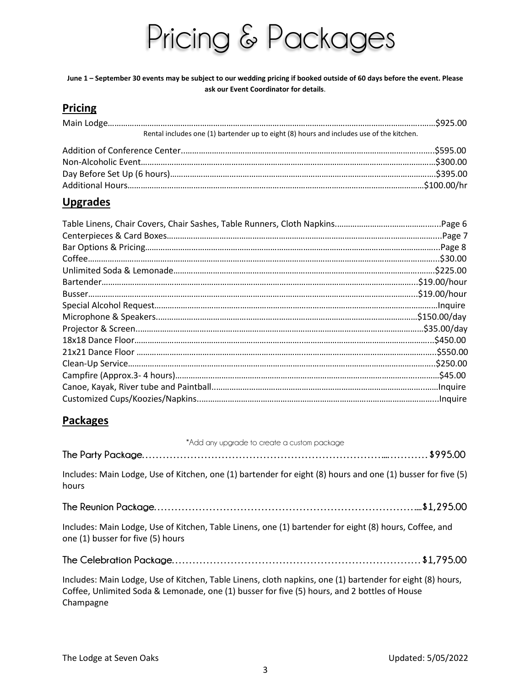# Pricing & Packages

**June 1 – September 30 events may be subject to our wedding pricing if booked outside of 60 days before the event. Please ask our Event Coordinator for details**.

### **Pricing**

| Rental includes one (1) bartender up to eight (8) hours and includes use of the kitchen. |  |
|------------------------------------------------------------------------------------------|--|
|                                                                                          |  |
|                                                                                          |  |
|                                                                                          |  |
|                                                                                          |  |

### **Upgrades**

### **Packages**

| *Add any upgrade to create a custom package                                                                                                                                                                            |
|------------------------------------------------------------------------------------------------------------------------------------------------------------------------------------------------------------------------|
|                                                                                                                                                                                                                        |
| Includes: Main Lodge, Use of Kitchen, one (1) bartender for eight (8) hours and one (1) busser for five (5)<br>hours                                                                                                   |
|                                                                                                                                                                                                                        |
| Includes: Main Lodge, Use of Kitchen, Table Linens, one (1) bartender for eight (8) hours, Coffee, and<br>one (1) busser for five (5) hours                                                                            |
|                                                                                                                                                                                                                        |
| Includes: Main Lodge, Use of Kitchen, Table Linens, cloth napkins, one (1) bartender for eight (8) hours,<br>Coffee, Unlimited Soda & Lemonade, one (1) busser for five (5) hours, and 2 bottles of House<br>Champagne |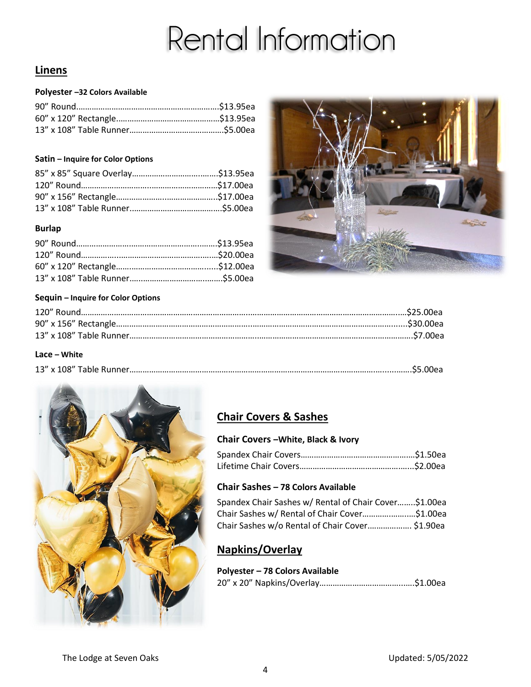# Rental Information

# **Linens**

#### **Polyester –32 Colors Available**

#### **Satin – Inquire for Color Options**

#### **Burlap**



#### **Sequin – Inquire for Color Options**

| Lace – White |  |
|--------------|--|
|              |  |



# **Chair Covers & Sashes**

#### **Chair Covers –White, Black & Ivory**

#### **Chair Sashes – 78 Colors Available**

| Spandex Chair Sashes w/ Rental of Chair Cover\$1.00ea |  |
|-------------------------------------------------------|--|
| Chair Sashes w/ Rental of Chair Cover\$1.00ea         |  |
| Chair Sashes w/o Rental of Chair Cover \$1.90ea       |  |

# **Napkins/Overlay**

**Polyester – 78 Colors Available** 20" x 20" Napkins/Overlay………………………………...….\$1.00ea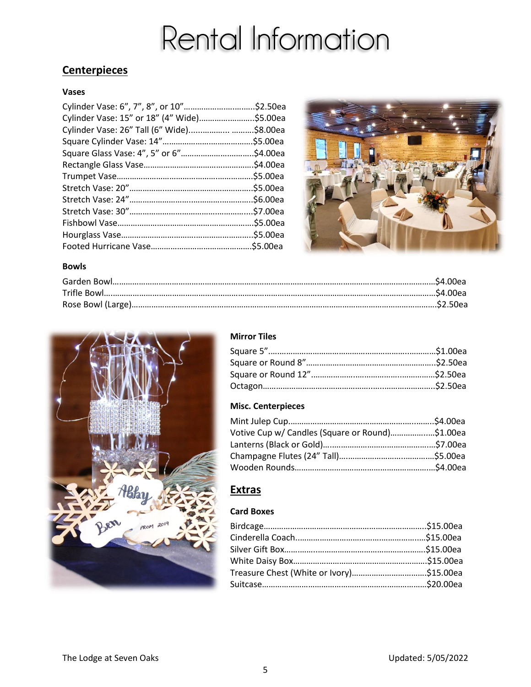# Rental Information

# **Centerpieces**

#### **Vases**

| Cylinder Vase: 15" or 18" (4" Wide)\$5.00ea |           |
|---------------------------------------------|-----------|
| Cylinder Vase: 26" Tall (6" Wide) \$8.00ea  |           |
|                                             | .\$5.00ea |
|                                             |           |
|                                             |           |
|                                             |           |
|                                             |           |
|                                             |           |
|                                             | .\$7.00ea |
|                                             | .\$5.00ea |
|                                             |           |
|                                             |           |



#### **Bowls**



### **Mirror Tiles**

#### **Misc. Centerpieces**

| Votive Cup w/ Candles (Square or Round)\$1.00ea |
|-------------------------------------------------|
|                                                 |
|                                                 |
|                                                 |
|                                                 |

## **Extras**

### **Card Boxes**